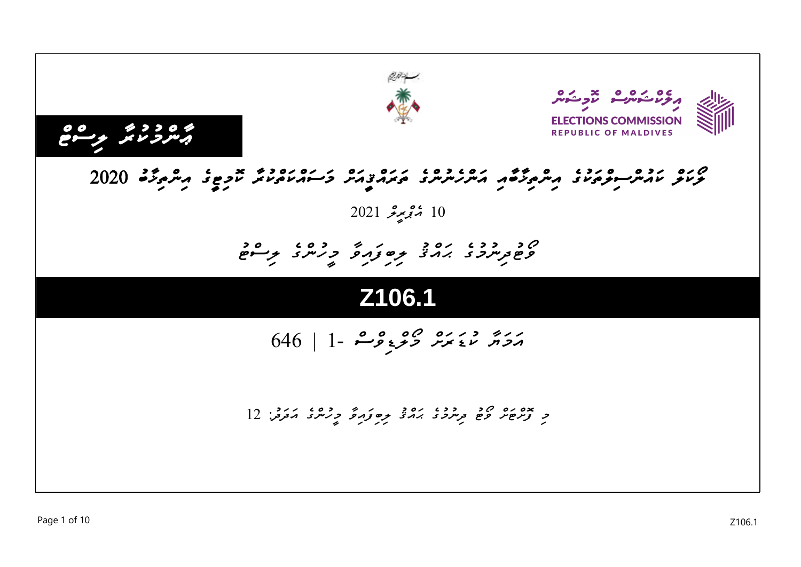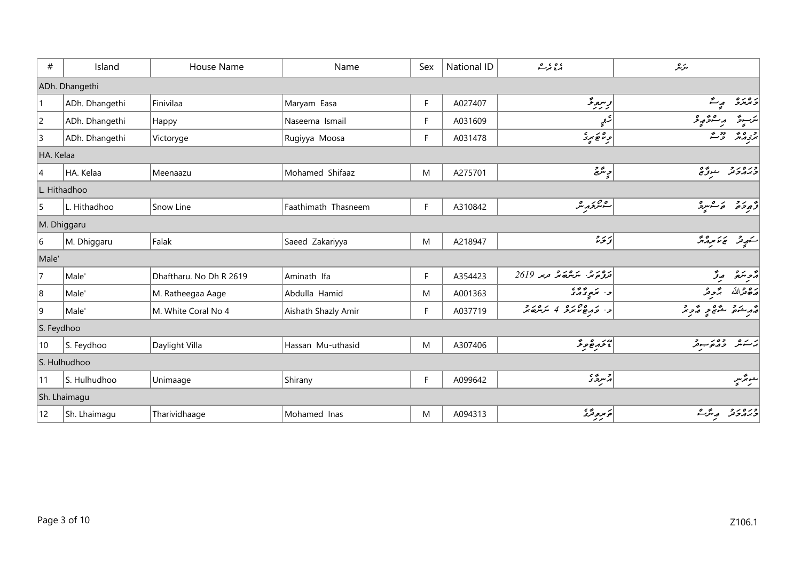| #              | Island         | House Name              | Name                | Sex       | National ID | ېره پر شه                         | ىئرىتر                                    |
|----------------|----------------|-------------------------|---------------------|-----------|-------------|-----------------------------------|-------------------------------------------|
|                | ADh. Dhangethi |                         |                     |           |             |                                   |                                           |
|                | ADh. Dhangethi | Finivilaa               | Maryam Easa         | F         | A027407     | او سره څه<br>م <u>س</u>           | ويربرو<br>پەيىتە                          |
| $\overline{2}$ | ADh. Dhangethi | Happy                   | Naseema Ismail      | F         | A031609     | تربح                              | ەرسىۋەپەتر<br>ايترسىدىخ                   |
| 3              | ADh. Dhangethi | Victoryge               | Rugiyya Moosa       | F.        | A031478     | <br> عربر ڪو سير ته               | دومثر<br>ىر تو ەر ئىر                     |
| HA. Kelaa      |                |                         |                     |           |             |                                   |                                           |
| 14             | HA. Kelaa      | Meenaazu                | Mohamed Shifaaz     | M         | A275701     | لحريثرج                           | و ره ر و<br><i>و پر</i> و تر<br>سنبوگر مح |
|                | L. Hithadhoo   |                         |                     |           |             |                                   |                                           |
| 5              | L. Hithadhoo   | Snow Line               | Faathimath Thasneem | F.        | A310842     | <u>ەي تەر</u>                     | ە ئەسىرى<br>ۇ بوز ئ                       |
|                | M. Dhiggaru    |                         |                     |           |             |                                   |                                           |
| 6              | M. Dhiggaru    | Falak                   | Saeed Zakariyya     | M         | A218947     | تر تر ژ                           | המינה הודי המינה                          |
| Male'          |                |                         |                     |           |             |                                   |                                           |
| 17             | Male'          | Dhaftharu. No Dh R 2619 | Aminath Ifa         | F         | A354423     | قروم تر. سرچھ تر مریر 2619        | ړ ځې سرچ<br>ەرق                           |
| 8              | Male'          | M. Ratheegaa Aage       | Abdulla Hamid       | M         | A001363     | ه بروژه ده                        | رەقمەللە جەمىر                            |
| 9              | Male'          | M. White Coral No 4     | Aishath Shazly Amir | F         | A037719     | والمحمد والمدور والمستر المتعاملي | مەر شەھ شەھ ھەر ما                        |
| S. Feydhoo     |                |                         |                     |           |             |                                   |                                           |
| 10             | S. Feydhoo     | Daylight Villa          | Hassan Mu-uthasid   | ${\sf M}$ | A307406     | پاځوړځو د ځه                      | يركبش وەربىق                              |
|                | S. Hulhudhoo   |                         |                     |           |             |                                   |                                           |
| 11             | S. Hulhudhoo   | Unimaage                | Shirany             | F         | A099642     | ژسر پر ؟                          | ڪونگرسر<br>سر                             |
|                | Sh. Lhaimagu   |                         |                     |           |             |                                   |                                           |
| 12             | Sh. Lhaimagu   | Tharividhaage           | Mohamed Inas        | M         | A094313     | پر بره تر د                       | وره دو په ش                               |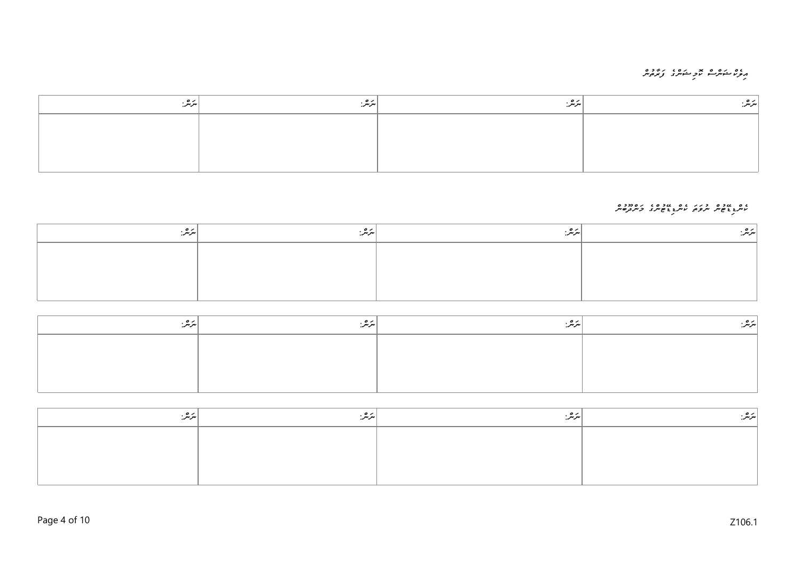## *w7qAn8m?sCw7mRo>u;wEw7mRw;sBo<*

| ' مرمر | 'يئرىثر: |
|--------|----------|
|        |          |
|        |          |
|        |          |

## *w7q9r@w7m>sCw7qHtFoFw7s;mAm=q7w7qHtFoFw7s;*

| ىر تە | $\mathcal{O} \times$<br>$\sim$ | $\sim$<br>. . | لترنثر |
|-------|--------------------------------|---------------|--------|
|       |                                |               |        |
|       |                                |               |        |
|       |                                |               |        |

| $\frac{2}{n}$ | $\overline{\phantom{a}}$ | اير هنه. | $\mathcal{O} \times$<br>سرسر |
|---------------|--------------------------|----------|------------------------------|
|               |                          |          |                              |
|               |                          |          |                              |
|               |                          |          |                              |

| ' ئىرتىر: | سر سر |  |
|-----------|-------|--|
|           |       |  |
|           |       |  |
|           |       |  |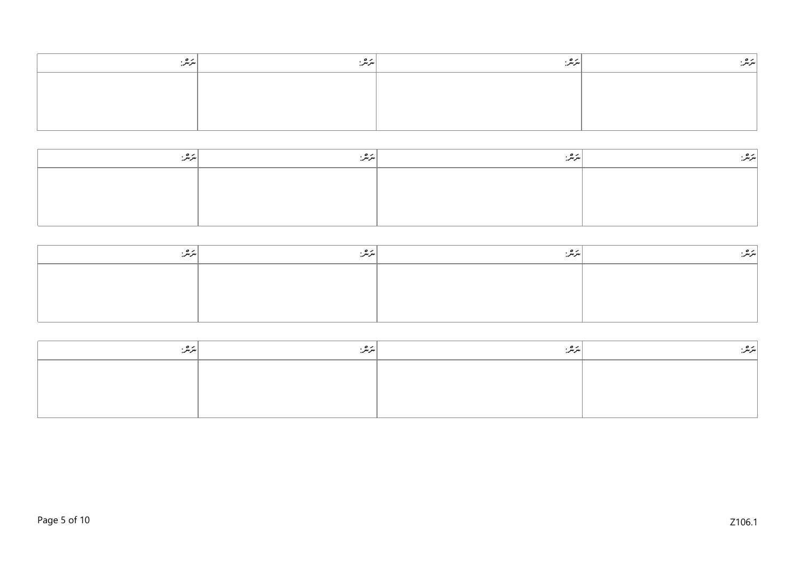| يزهر | $^{\circ}$ | ىئرىتر: |  |
|------|------------|---------|--|
|      |            |         |  |
|      |            |         |  |
|      |            |         |  |

| <sup>.</sup> سرسر. |  |
|--------------------|--|
|                    |  |
|                    |  |
|                    |  |

| ىئرىتر. | $\sim$ | ا بر هه. | لىرىش |
|---------|--------|----------|-------|
|         |        |          |       |
|         |        |          |       |
|         |        |          |       |

| $\overline{\phantom{a}}$<br>سرس. | ر ه<br>,,, | . . | 。<br>سرس. |
|----------------------------------|------------|-----|-----------|
|                                  |            |     |           |
|                                  |            |     |           |
|                                  |            |     |           |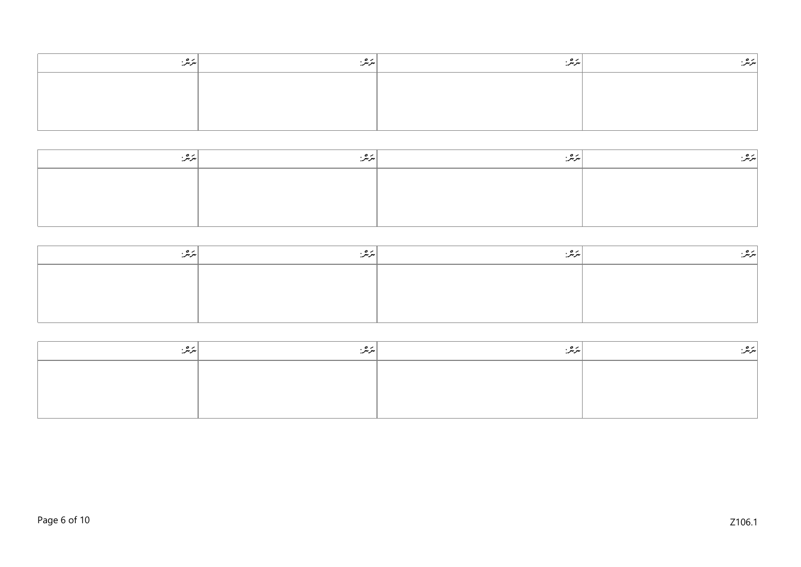| ير هو . | $\overline{\phantom{a}}$ | يرمر | اير هنه. |
|---------|--------------------------|------|----------|
|         |                          |      |          |
|         |                          |      |          |
|         |                          |      |          |

| ئىرتىر: | $\sim$<br>ا سرسر . | يئرمثر | o . |
|---------|--------------------|--------|-----|
|         |                    |        |     |
|         |                    |        |     |
|         |                    |        |     |

| نتزيتر به | 。 | 。<br>سرسر. | o <i>~</i> |
|-----------|---|------------|------------|
|           |   |            |            |
|           |   |            |            |
|           |   |            |            |

|  | . ه |
|--|-----|
|  |     |
|  |     |
|  |     |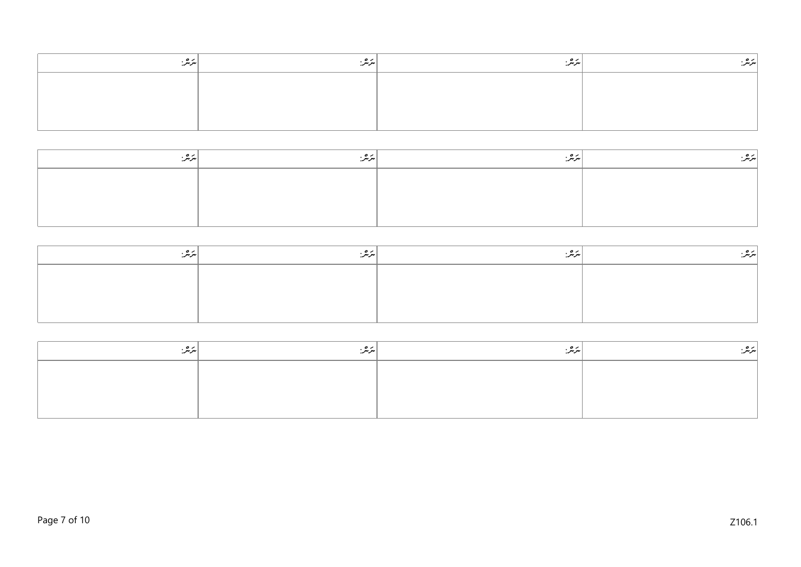| ير هو . | $\overline{\phantom{a}}$ | يرمر | اير هنه. |
|---------|--------------------------|------|----------|
|         |                          |      |          |
|         |                          |      |          |
|         |                          |      |          |

| ئىرتىر: | $\sim$<br>ا سرسر . | يئرمثر | o . |
|---------|--------------------|--------|-----|
|         |                    |        |     |
|         |                    |        |     |
|         |                    |        |     |

| الترنثر: | ' مرتكز: | الترنثر: | .,<br>سرس. |
|----------|----------|----------|------------|
|          |          |          |            |
|          |          |          |            |
|          |          |          |            |

|  | . ه |
|--|-----|
|  |     |
|  |     |
|  |     |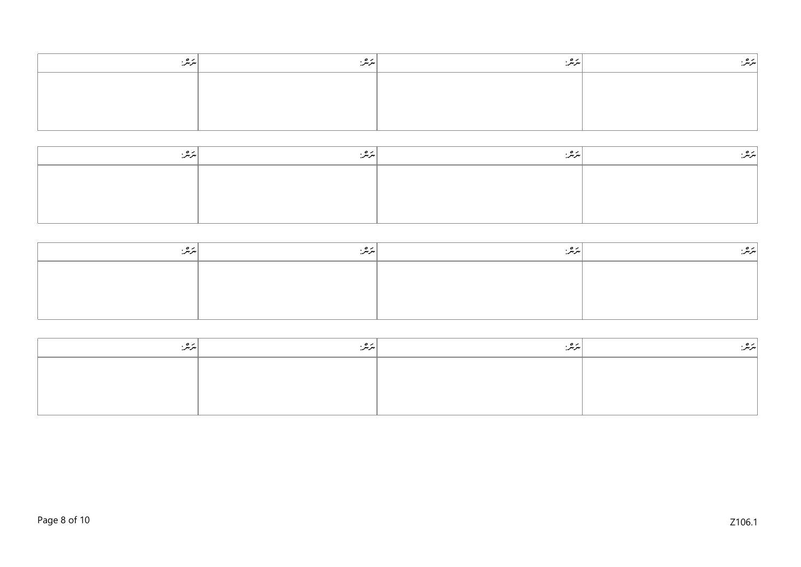| $\cdot$ | 。 | $\frac{\circ}{\cdot}$ | $\sim$<br>سرسر |
|---------|---|-----------------------|----------------|
|         |   |                       |                |
|         |   |                       |                |
|         |   |                       |                |

| يريثن | ' سرسر . |  |
|-------|----------|--|
|       |          |  |
|       |          |  |
|       |          |  |

| بر ه | 。 | $\sim$<br>َ سومس. |  |
|------|---|-------------------|--|
|      |   |                   |  |
|      |   |                   |  |
|      |   |                   |  |

| 。<br>. س | ىرىىر |  |
|----------|-------|--|
|          |       |  |
|          |       |  |
|          |       |  |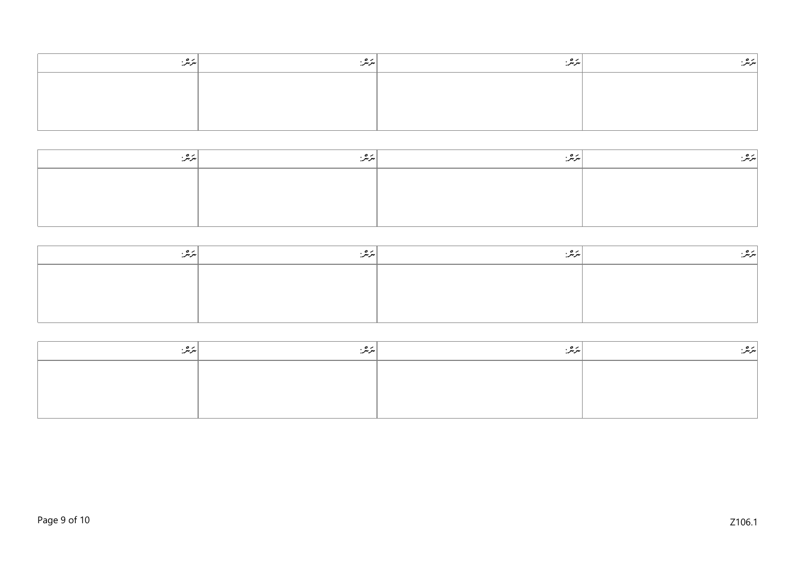| ير هو . | $\overline{\phantom{a}}$ | يرمر | اير هنه. |
|---------|--------------------------|------|----------|
|         |                          |      |          |
|         |                          |      |          |
|         |                          |      |          |

| ئىرتىر: | $\sim$<br>ا سرسر . | يئرمثر | o . |
|---------|--------------------|--------|-----|
|         |                    |        |     |
|         |                    |        |     |
|         |                    |        |     |

| كترنثر: | 。 | 。<br>سرسر. | o <i>~</i> |
|---------|---|------------|------------|
|         |   |            |            |
|         |   |            |            |
|         |   |            |            |

|  | . ه |
|--|-----|
|  |     |
|  |     |
|  |     |